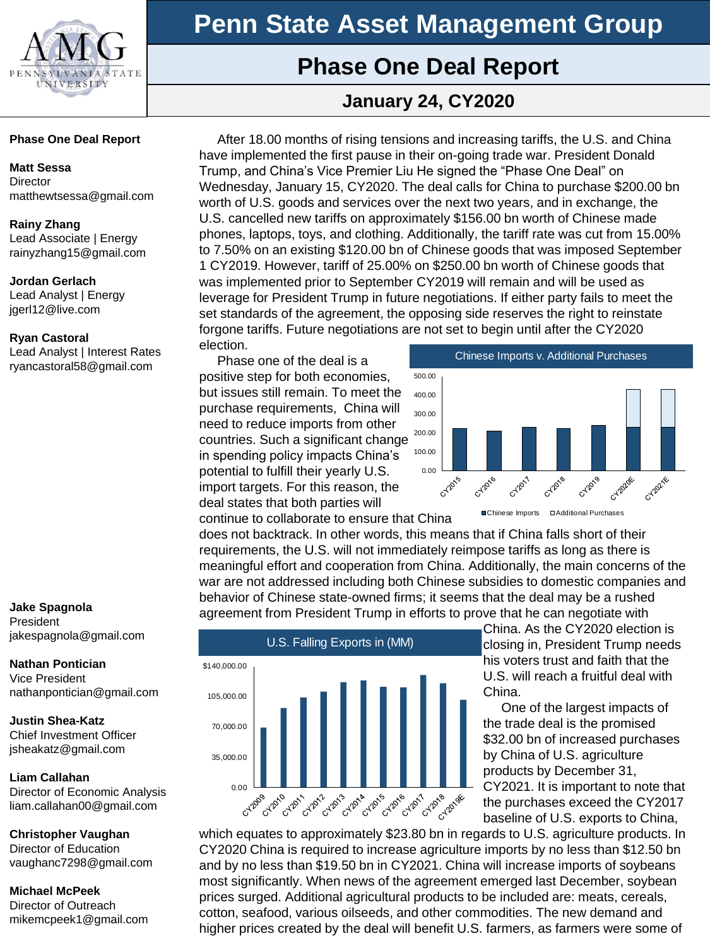

## **Phase One Deal Report**

## **January 24, CY2020**

### **Phase One Deal Report**

### **Matt Sessa**

**Director** matthewtsessa@gmail.com

### **Rainy Zhang**

Lead Associate | Energy rainyzhang15@gmail.com

### **Jordan Gerlach**

Lead Analyst | Energy jgerl12@live.com

### **Ryan Castoral**

Lead Analyst | Interest Rates ryancastoral58@gmail.com

### **Jake Spagnola** President jakespagnola@gmail.com

**Nathan Pontician** Vice President nathanpontician@gmail.com

**Justin Shea-Katz** Chief Investment Officer jsheakatz@gmail.com

### **Liam Callahan**

Director of Economic Analysis liam.callahan00@gmail.com

### **Christopher Vaughan**

Director of Education vaughanc7298@gmail.com

### **Michael McPeek**

Director of Outreach mikemcpeek1@gmail.com

After 18.00 months of rising tensions and increasing tariffs, the U.S. and China have implemented the first pause in their on-going trade war. President Donald Trump, and China's Vice Premier Liu He signed the "Phase One Deal" on Wednesday, January 15, CY2020. The deal calls for China to purchase \$200.00 bn worth of U.S. goods and services over the next two years, and in exchange, the U.S. cancelled new tariffs on approximately \$156.00 bn worth of Chinese made phones, laptops, toys, and clothing. Additionally, the tariff rate was cut from 15.00% to 7.50% on an existing \$120.00 bn of Chinese goods that was imposed September 1 CY2019. However, tariff of 25.00% on \$250.00 bn worth of Chinese goods that was implemented prior to September CY2019 will remain and will be used as leverage for President Trump in future negotiations. If either party fails to meet the set standards of the agreement, the opposing side reserves the right to reinstate forgone tariffs. Future negotiations are not set to begin until after the CY2020 election.

Phase one of the deal is a positive step for both economies, but issues still remain. To meet the purchase requirements, China will need to reduce imports from other countries. Such a significant change in spending policy impacts China's potential to fulfill their yearly U.S. import targets. For this reason, the deal states that both parties will



continue to collaborate to ensure that China

does not backtrack. In other words, this means that if China falls short of their requirements, the U.S. will not immediately reimpose tariffs as long as there is meaningful effort and cooperation from China. Additionally, the main concerns of the war are not addressed including both Chinese subsidies to domestic companies and behavior of Chinese state-owned firms; it seems that the deal may be a rushed agreement from President Trump in efforts to prove that he can negotiate with



China. As the CY2020 election is closing in, President Trump needs his voters trust and faith that the U.S. will reach a fruitful deal with China.

One of the largest impacts of the trade deal is the promised \$32.00 bn of increased purchases by China of U.S. agriculture products by December 31, CY2021. It is important to note that the purchases exceed the CY2017 baseline of U.S. exports to China,

which equates to approximately \$23.80 bn in regards to U.S. agriculture products. In CY2020 China is required to increase agriculture imports by no less than \$12.50 bn and by no less than \$19.50 bn in CY2021. China will increase imports of soybeans most significantly. When news of the agreement emerged last December, soybean prices surged. Additional agricultural products to be included are: meats, cereals, cotton, seafood, various oilseeds, and other commodities. The new demand and higher prices created by the deal will benefit U.S. farmers, as farmers were some of